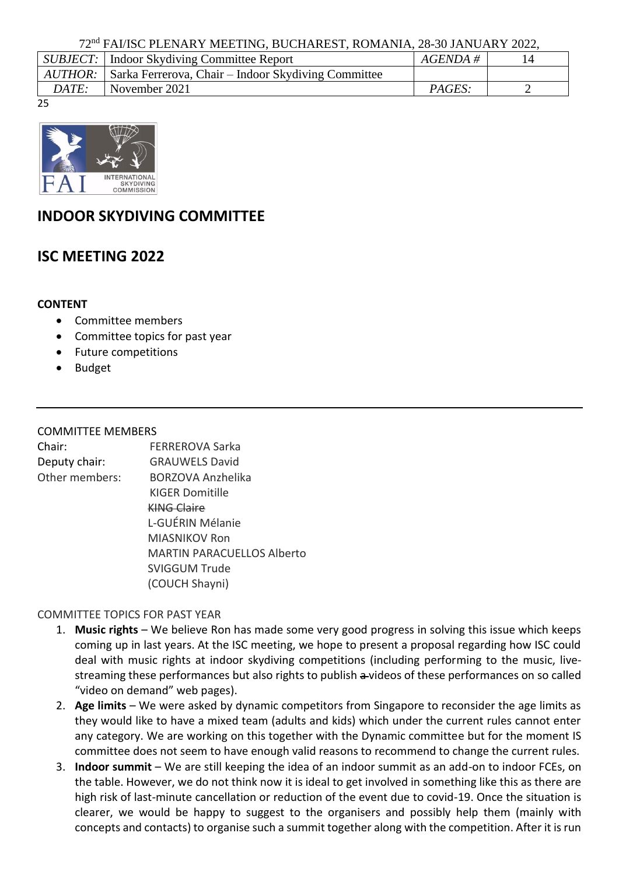72nd FAI/ISC PLENARY MEETING, BUCHAREST, ROMANIA, 28-30 JANUARY 2022,

|       | <i>SUBJECT:</i>   Indoor Skydiving Committee Report                 | $AGENDA \#$ |  |  |  |
|-------|---------------------------------------------------------------------|-------------|--|--|--|
|       | <i>AUTHOR</i> : Sarka Ferrerova, Chair – Indoor Skydiving Committee |             |  |  |  |
| DATE: | November 2021                                                       | PAGES:      |  |  |  |
|       |                                                                     |             |  |  |  |

25



## **INDOOR SKYDIVING COMMITTEE**

# **ISC MEETING 2022**

#### **CONTENT**

- Committee members
- Committee topics for past year
- Future competitions
- Budget

### COMMITTEE MEMBERS

| Chair:         | <b>FERREROVA Sarka</b>            |
|----------------|-----------------------------------|
| Deputy chair:  | <b>GRAUWELS David</b>             |
| Other members: | BORZOVA Anzhelika                 |
|                | <b>KIGER Domitille</b>            |
|                | <b>KING Claire</b>                |
|                | L-GUÉRIN Mélanie                  |
|                | MIASNIKOV Ron                     |
|                | <b>MARTIN PARACUELLOS Alberto</b> |
|                | <b>SVIGGUM Trude</b>              |
|                | (COUCH Shayni)                    |
|                |                                   |

### COMMITTEE TOPICS FOR PAST YEAR

- 1. **Music rights**  We believe Ron has made some very good progress in solving this issue which keeps coming up in last years. At the ISC meeting, we hope to present a proposal regarding how ISC could deal with music rights at indoor skydiving competitions (including performing to the music, livestreaming these performances but also rights to publish a-videos of these performances on so called "video on demand" web pages).
- 2. **Age limits** We were asked by dynamic competitors from Singapore to reconsider the age limits as they would like to have a mixed team (adults and kids) which under the current rules cannot enter any category. We are working on this together with the Dynamic committee but for the moment IS committee does not seem to have enough valid reasons to recommend to change the current rules.
- 3. **Indoor summit** We are still keeping the idea of an indoor summit as an add-on to indoor FCEs, on the table. However, we do not think now it is ideal to get involved in something like this as there are high risk of last-minute cancellation or reduction of the event due to covid-19. Once the situation is clearer, we would be happy to suggest to the organisers and possibly help them (mainly with concepts and contacts) to organise such a summit together along with the competition. After it is run